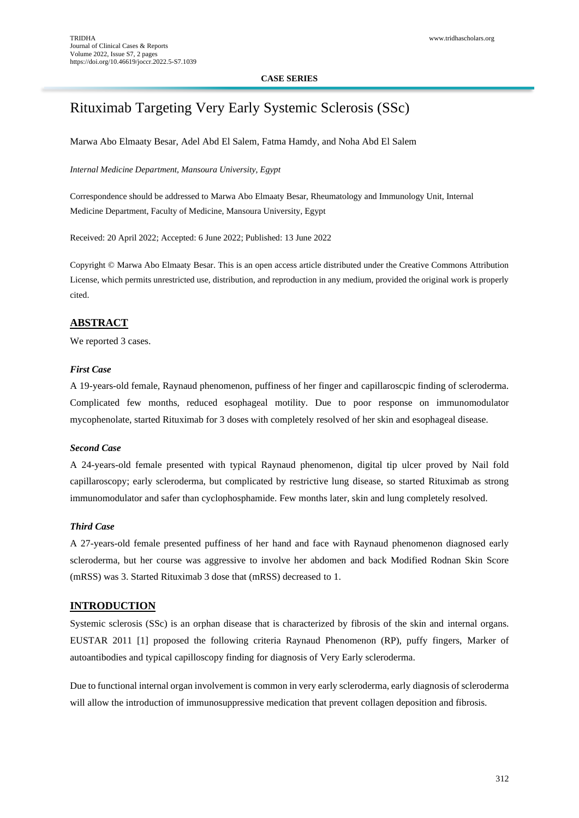#### **CASE SERIES**

# Rituximab Targeting Very Early Systemic Sclerosis (SSc)

Marwa Abo Elmaaty Besar, Adel Abd El Salem, Fatma Hamdy, and Noha Abd El Salem

*Internal Medicine Department, Mansoura University, Egypt*

Correspondence should be addressed to Marwa Abo Elmaaty Besar, Rheumatology and Immunology Unit, Internal Medicine Department, Faculty of Medicine, Mansoura University, Egypt

Received: 20 April 2022; Accepted: 6 June 2022; Published: 13 June 2022

Copyright © Marwa Abo Elmaaty Besar. This is an open access article distributed under the Creative Commons Attribution License, which permits unrestricted use, distribution, and reproduction in any medium, provided the original work is properly cited.

## **ABSTRACT**

We reported 3 cases.

### *First Case*

A 19-years-old female, Raynaud phenomenon, puffiness of her finger and capillaroscpic finding of scleroderma. Complicated few months, reduced esophageal motility. Due to poor response on immunomodulator mycophenolate, started Rituximab for 3 doses with completely resolved of her skin and esophageal disease.

## *Second Case*

A 24-years-old female presented with typical Raynaud phenomenon, digital tip ulcer proved by Nail fold capillaroscopy; early scleroderma, but complicated by restrictive lung disease, so started Rituximab as strong immunomodulator and safer than cyclophosphamide. Few months later, skin and lung completely resolved.

## *Third Case*

A 27-years-old female presented puffiness of her hand and face with Raynaud phenomenon diagnosed early scleroderma, but her course was aggressive to involve her abdomen and back Modified Rodnan Skin Score (mRSS) was 3. Started Rituximab 3 dose that (mRSS) decreased to 1.

### **INTRODUCTION**

Systemic sclerosis (SSc) is an orphan disease that is characterized by fibrosis of the skin and internal organs. EUSTAR 2011 [1] proposed the following criteria Raynaud Phenomenon (RP), puffy fingers, Marker of autoantibodies and typical capilloscopy finding for diagnosis of Very Early scleroderma.

Due to functional internal organ involvement is common in very early scleroderma, early diagnosis of scleroderma will allow the introduction of immunosuppressive medication that prevent collagen deposition and fibrosis.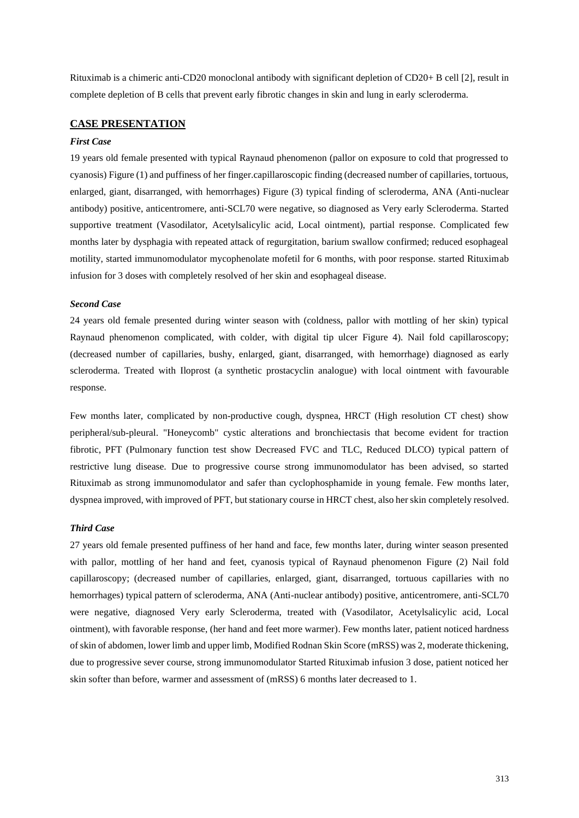Rituximab is a chimeric anti-CD20 monoclonal antibody with significant depletion of CD20+ B cell [2], result in complete depletion of B cells that prevent early fibrotic changes in skin and lung in early scleroderma.

## **CASE PRESENTATION**

#### *First Case*

19 years old female presented with typical Raynaud phenomenon (pallor on exposure to cold that progressed to cyanosis) Figure (1) and puffiness of her finger.capillaroscopic finding (decreased number of capillaries, tortuous, enlarged, giant, disarranged, with hemorrhages) Figure (3) typical finding of scleroderma, ANA (Anti-nuclear antibody) positive, anticentromere, anti-SCL70 were negative, so diagnosed as Very early Scleroderma. Started supportive treatment (Vasodilator, Acetylsalicylic acid, Local ointment), partial response. Complicated few months later by dysphagia with repeated attack of regurgitation, barium swallow confirmed; reduced esophageal motility, started immunomodulator mycophenolate mofetil for 6 months, with poor response. started Rituximab infusion for 3 doses with completely resolved of her skin and esophageal disease.

#### *Second Case*

24 years old female presented during winter season with (coldness, pallor with mottling of her skin) typical Raynaud phenomenon complicated, with colder, with digital tip ulcer Figure 4). Nail fold capillaroscopy; (decreased number of capillaries, bushy, enlarged, giant, disarranged, with hemorrhage) diagnosed as early scleroderma. Treated with Iloprost (a synthetic prostacyclin analogue) with local ointment with favourable response.

Few months later, complicated by non-productive cough, dyspnea, HRCT (High resolution CT chest) show peripheral/sub-pleural. "Honeycomb" cystic alterations and bronchiectasis that become evident for traction fibrotic, PFT (Pulmonary function test show Decreased FVC and TLC, Reduced DLCO) typical pattern of restrictive lung disease. Due to progressive course strong immunomodulator has been advised, so started Rituximab as strong immunomodulator and safer than cyclophosphamide in young female. Few months later, dyspnea improved, with improved of PFT, but stationary course in HRCT chest, also her skin completely resolved.

#### *Third Case*

27 years old female presented puffiness of her hand and face, few months later, during winter season presented with pallor, mottling of her hand and feet, cyanosis typical of Raynaud phenomenon Figure (2) Nail fold capillaroscopy; (decreased number of capillaries, enlarged, giant, disarranged, tortuous capillaries with no hemorrhages) typical pattern of scleroderma, ANA (Anti-nuclear antibody) positive, anticentromere, anti-SCL70 were negative, diagnosed Very early Scleroderma, treated with (Vasodilator, Acetylsalicylic acid, Local ointment), with favorable response, (her hand and feet more warmer). Few months later, patient noticed hardness of skin of abdomen, lower limb and upper limb, Modified Rodnan Skin Score (mRSS) was 2, moderate thickening, due to progressive sever course, strong immunomodulator Started Rituximab infusion 3 dose, patient noticed her skin softer than before, warmer and assessment of (mRSS) 6 months later decreased to 1.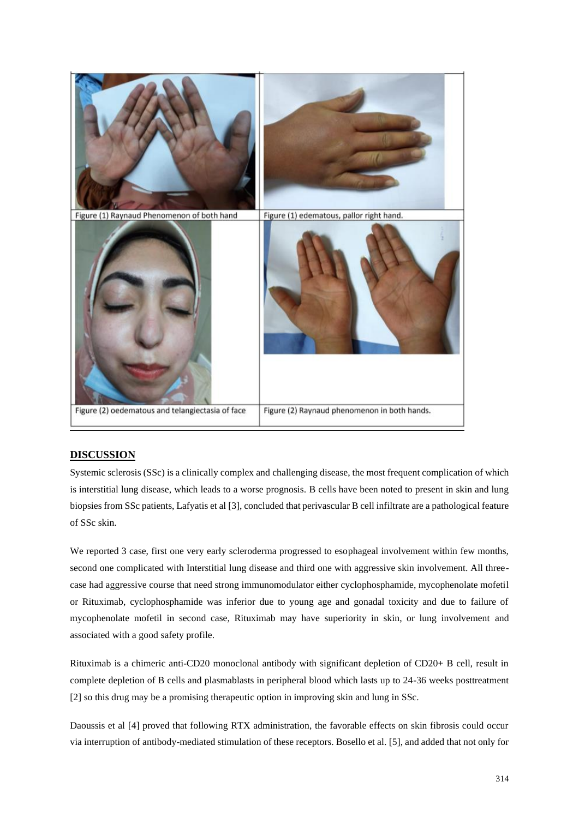

# **DISCUSSION**

Systemic sclerosis (SSc) is a clinically complex and challenging disease, the most frequent complication of which is interstitial lung disease, which leads to a worse prognosis. B cells have been noted to present in skin and lung biopsies from SSc patients, Lafyatis et al [3], concluded that perivascular B cell infiltrate are a pathological feature of SSc skin.

We reported 3 case, first one very early scleroderma progressed to esophageal involvement within few months, second one complicated with Interstitial lung disease and third one with aggressive skin involvement. All threecase had aggressive course that need strong immunomodulator either cyclophosphamide, mycophenolate mofetil or Rituximab, cyclophosphamide was inferior due to young age and gonadal toxicity and due to failure of mycophenolate mofetil in second case, Rituximab may have superiority in skin, or lung involvement and associated with a good safety profile.

Rituximab is a chimeric anti-CD20 monoclonal antibody with significant depletion of CD20+ B cell, result in complete depletion of B cells and plasmablasts in peripheral blood which lasts up to 24-36 weeks posttreatment [2] so this drug may be a promising therapeutic option in improving skin and lung in SSc.

Daoussis et al [4] proved that following RTX administration, the favorable effects on skin fibrosis could occur via interruption of antibody-mediated stimulation of these receptors. Bosello et al. [5], and added that not only for